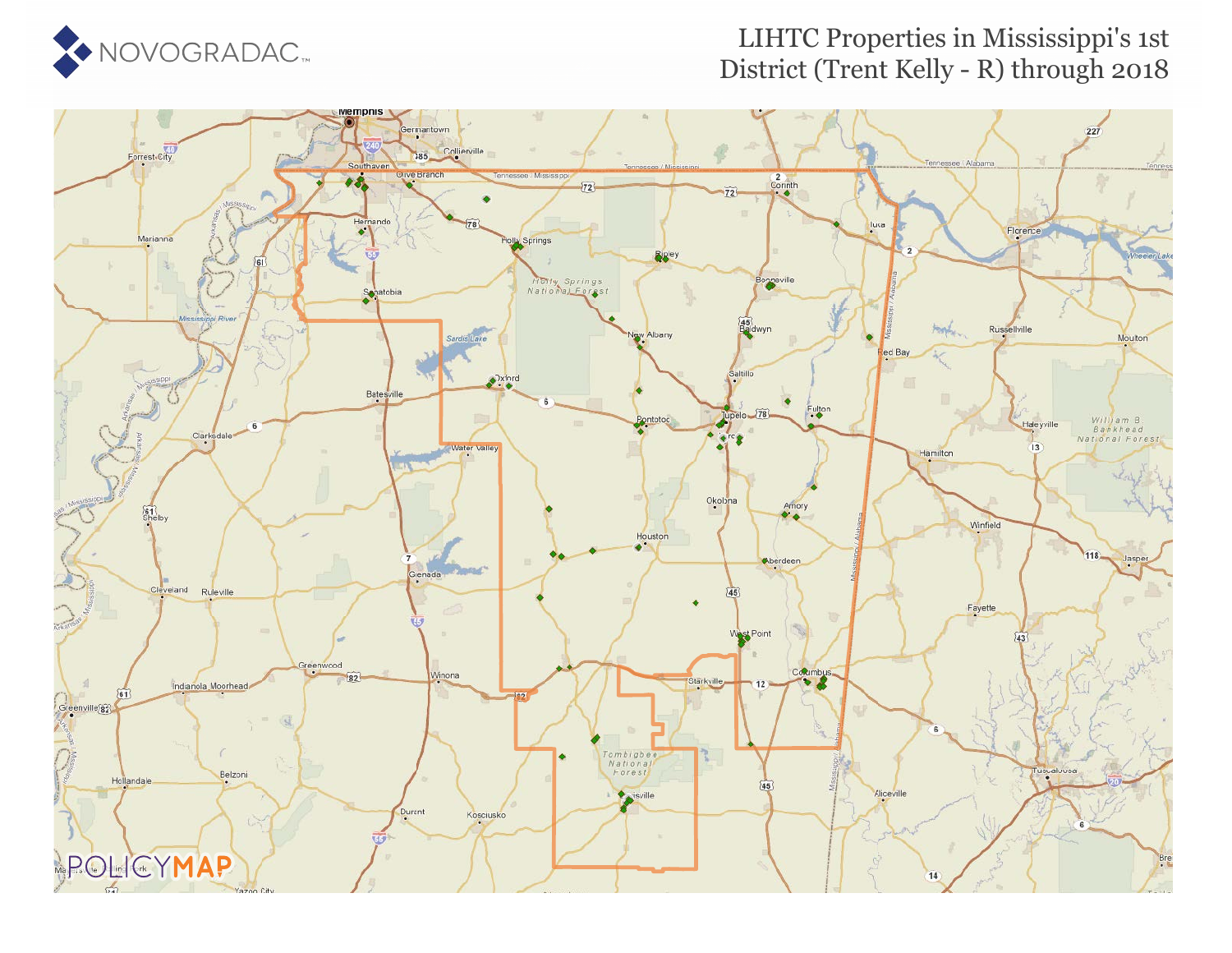

### LIHTC Properties in Mississippi's 1st District (Trent Kelly - R) through 2018

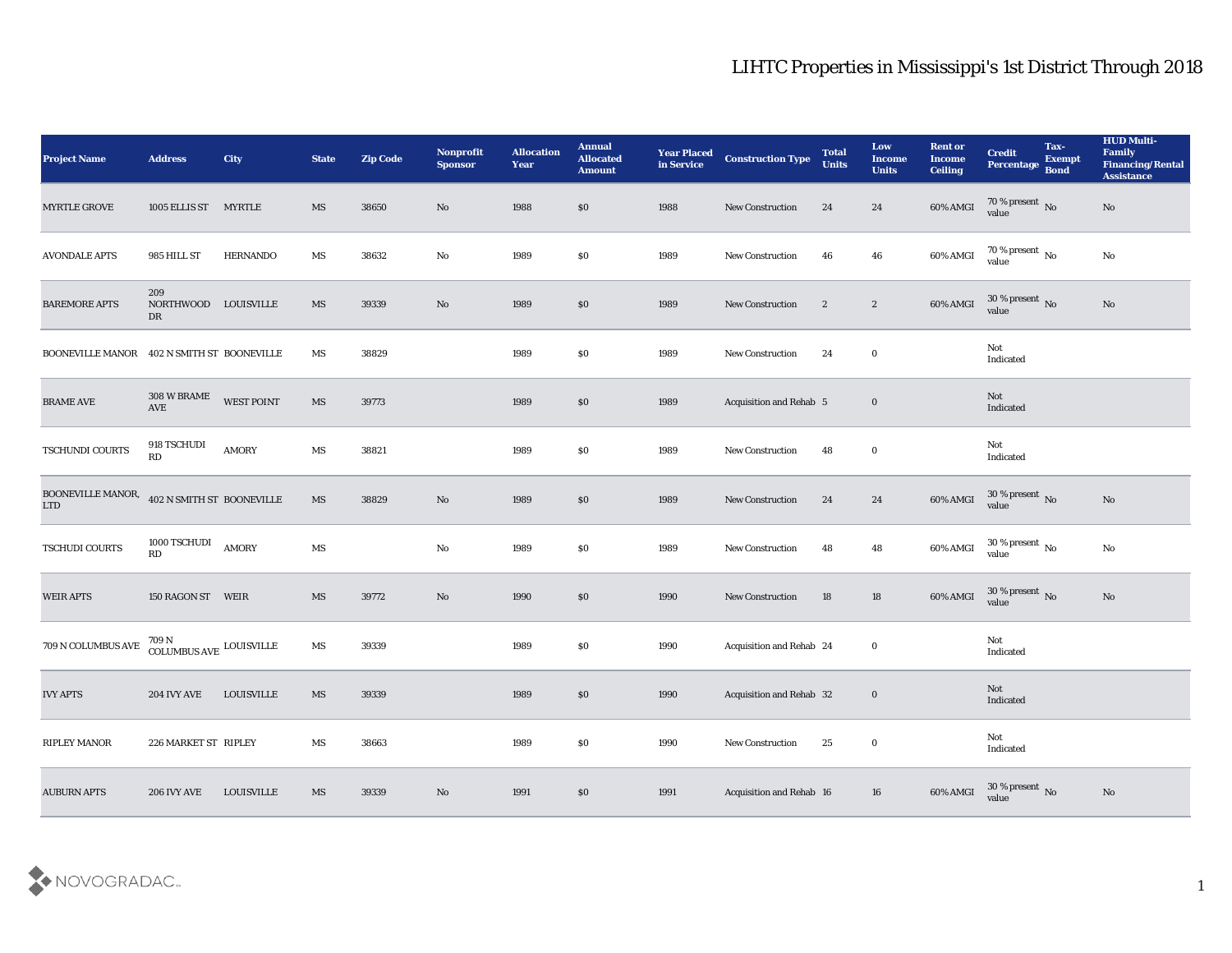| <b>Project Name</b>             | <b>Address</b>                            | <b>City</b>       | <b>State</b>           | <b>Zip Code</b> | Nonprofit<br><b>Sponsor</b> | <b>Allocation</b><br><b>Year</b> | <b>Annual</b><br><b>Allocated</b><br><b>Amount</b> | <b>Year Placed</b><br>in Service | <b>Construction Type</b> | <b>Total</b><br><b>Units</b> | Low<br><b>Income</b><br><b>Units</b> | <b>Rent or</b><br><b>Income</b><br><b>Ceiling</b> | <b>Credit</b><br>Percentage       | Tax-<br><b>Exempt</b><br><b>Bond</b> | <b>HUD Multi-</b><br>Family<br><b>Financing/Rental</b><br><b>Assistance</b> |
|---------------------------------|-------------------------------------------|-------------------|------------------------|-----------------|-----------------------------|----------------------------------|----------------------------------------------------|----------------------------------|--------------------------|------------------------------|--------------------------------------|---------------------------------------------------|-----------------------------------|--------------------------------------|-----------------------------------------------------------------------------|
| <b>MYRTLE GROVE</b>             | 1005 ELLIS ST MYRTLE                      |                   | MS                     | 38650           | No                          | 1988                             | \$0                                                | 1988                             | <b>New Construction</b>  | 24                           | 24                                   | 60% AMGI                                          | $70\,\%$ present $\,$ No value    |                                      | No                                                                          |
| <b>AVONDALE APTS</b>            | 985 HILL ST                               | <b>HERNANDO</b>   | MS                     | 38632           | No                          | 1989                             | \$0                                                | 1989                             | <b>New Construction</b>  | 46                           | 46                                   | 60% AMGI                                          | $70$ % present $\,$ No $\,$ value |                                      | No                                                                          |
| <b>BAREMORE APTS</b>            | 209<br>NORTHWOOD LOUISVILLE<br>DR         |                   | MS                     | 39339           | No                          | 1989                             | $\$0$                                              | 1989                             | <b>New Construction</b>  | $\mathbf{2}$                 | $\mathbf{2}$                         | 60% AMGI                                          | $30\,\%$ present $\,$ No value    |                                      | $\rm\thinspace No$                                                          |
| <b>BOONEVILLE MANOR</b>         | 402 N SMITH ST BOONEVILLE                 |                   | MS                     | 38829           |                             | 1989                             | \$0                                                | 1989                             | New Construction         | 24                           | $\bf{0}$                             |                                                   | Not<br>Indicated                  |                                      |                                                                             |
| <b>BRAME AVE</b>                | 308 W BRAME<br>$\operatorname{AVE}$       | WEST POINT        | MS                     | 39773           |                             | 1989                             | \$0                                                | 1989                             | Acquisition and Rehab 5  |                              | $\bf{0}$                             |                                                   | Not<br>Indicated                  |                                      |                                                                             |
| TSCHUNDI COURTS                 | $918$ TSCHUDI<br>RD                       | AMORY             | $\mathbf{M}\mathbf{S}$ | 38821           |                             | 1989                             | \$0                                                | 1989                             | <b>New Construction</b>  | 48                           | $\bf{0}$                             |                                                   | Not<br>Indicated                  |                                      |                                                                             |
| BOONEVILLE MANOR,<br><b>LTD</b> | 402 N SMITH ST BOONEVILLE                 |                   | $\overline{\text{MS}}$ | 38829           | No                          | 1989                             | \$0                                                | 1989                             | New Construction         | 24                           | 24                                   | 60% AMGI                                          | $30\,\%$ present $\,$ No value    |                                      | No                                                                          |
| TSCHUDI COURTS                  | 1000 TSCHUDI<br>RD                        | AMORY             | $\mathbf{M}\mathbf{S}$ |                 | $\mathbf{N}\mathbf{o}$      | 1989                             | \$0                                                | 1989                             | <b>New Construction</b>  | 48                           | 48                                   | 60% AMGI                                          | $30\,\%$ present $\,$ No value    |                                      | $\rm\thinspace No$                                                          |
| <b>WEIR APTS</b>                | 150 RAGON ST WEIR                         |                   | MS                     | 39772           | $\mathbf{N}\mathbf{o}$      | 1990                             | \$0                                                | 1990                             | <b>New Construction</b>  | 18                           | 18                                   | 60% AMGI                                          | $30\,\%$ present $\,$ No value    |                                      | $\rm\thinspace No$                                                          |
| $709$ N COLUMBUS AVE            | $709\,\mathrm{N}$ COLUMBUS AVE LOUISVILLE |                   | MS                     | 39339           |                             | 1989                             | \$0                                                | 1990                             | Acquisition and Rehab 24 |                              | $\bf{0}$                             |                                                   | Not<br>Indicated                  |                                      |                                                                             |
| <b>IVY APTS</b>                 | <b>204 IVY AVE</b>                        | <b>LOUISVILLE</b> | MS                     | 39339           |                             | 1989                             | \$0                                                | 1990                             | Acquisition and Rehab 32 |                              | $\bf{0}$                             |                                                   | Not<br>Indicated                  |                                      |                                                                             |
| RIPLEY MANOR                    | 226 MARKET ST RIPLEY                      |                   | MS                     | 38663           |                             | 1989                             | \$0                                                | 1990                             | New Construction         | 25                           | $\mathbf 0$                          |                                                   | Not<br>$\operatorname{Indicated}$ |                                      |                                                                             |
| <b>AUBURN APTS</b>              | <b>206 IVY AVE</b>                        | LOUISVILLE        | $\mathbf{M}\mathbf{S}$ | 39339           | $\rm\thinspace No$          | 1991                             | $\$0$                                              | 1991                             | Acquisition and Rehab 16 |                              | 16                                   | 60% AMGI                                          | $30\,\%$ present $\,$ No value    |                                      | $\rm\thinspace No$                                                          |

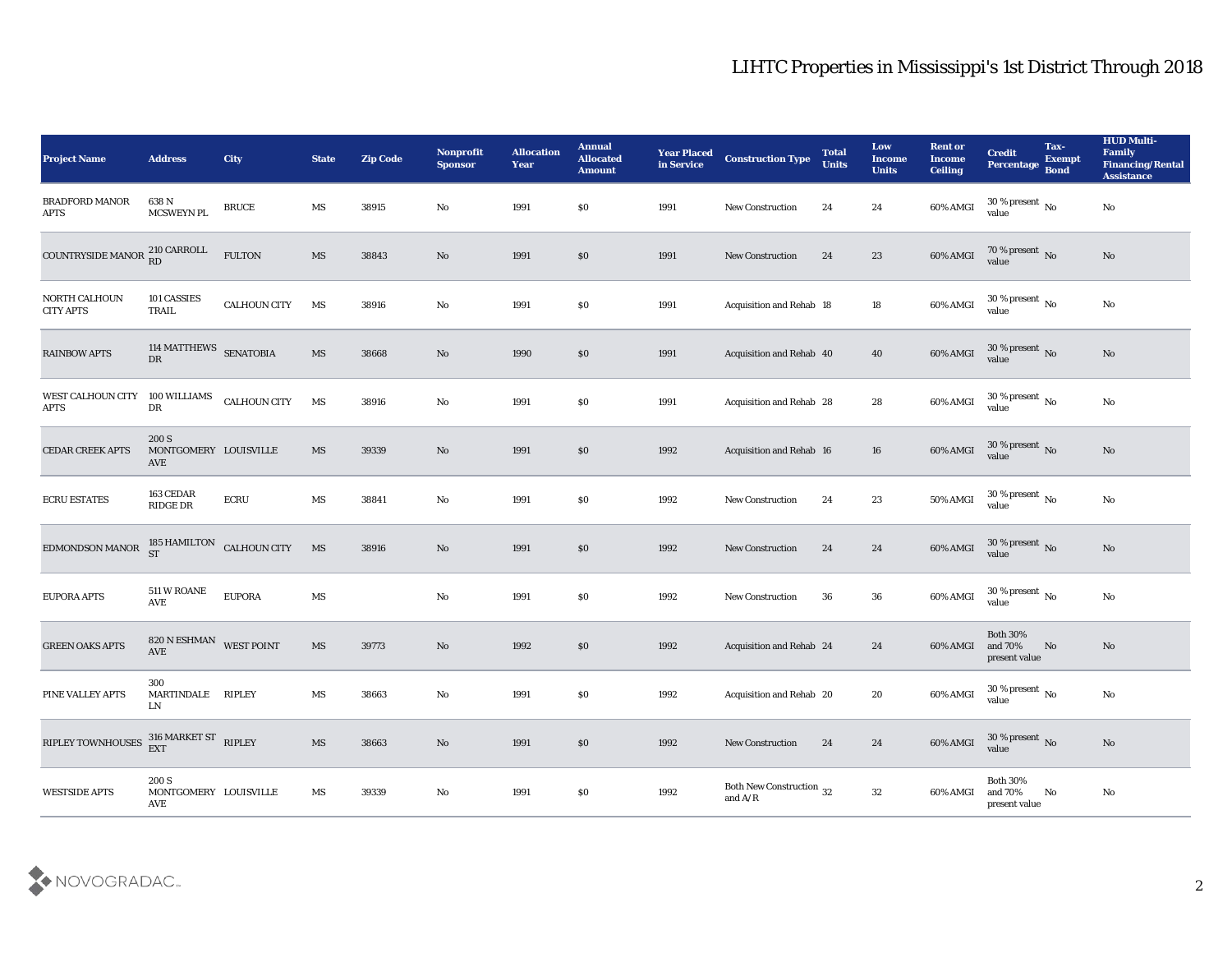| <b>Project Name</b>                  | <b>Address</b>                        | City                      | <b>State</b>           | <b>Zip Code</b> | Nonprofit<br><b>Sponsor</b> | <b>Allocation</b><br><b>Year</b> | <b>Annual</b><br><b>Allocated</b><br><b>Amount</b> | <b>Year Placed</b><br>in Service | <b>Construction Type</b>                                                                        | <b>Total</b><br><b>Units</b> | Low<br><b>Income</b><br><b>Units</b> | <b>Rent or</b><br><b>Income</b><br><b>Ceiling</b> | <b>Credit</b><br>Percentage Bond            | Tax-<br><b>Exempt</b>  | <b>HUD Multi-</b><br>Family<br><b>Financing/Rental</b><br><b>Assistance</b> |
|--------------------------------------|---------------------------------------|---------------------------|------------------------|-----------------|-----------------------------|----------------------------------|----------------------------------------------------|----------------------------------|-------------------------------------------------------------------------------------------------|------------------------------|--------------------------------------|---------------------------------------------------|---------------------------------------------|------------------------|-----------------------------------------------------------------------------|
| <b>BRADFORD MANOR</b><br><b>APTS</b> | 638 N<br>MCSWEYN PL                   | <b>BRUCE</b>              | MS                     | 38915           | No                          | 1991                             | \$0                                                | 1991                             | <b>New Construction</b>                                                                         | 24                           | 24                                   | 60% AMGI                                          | $30\,\%$ present $\,$ No value              |                        | No                                                                          |
| COUNTRYSIDE MANOR 210 CARROLL        |                                       | <b>FULTON</b>             | MS                     | 38843           | No                          | 1991                             | \$0                                                | 1991                             | <b>New Construction</b>                                                                         | 24                           | 23                                   | 60% AMGI                                          | $70\,\%$ present $\,$ No value              |                        | No                                                                          |
| NORTH CALHOUN<br><b>CITY APTS</b>    | 101 CASSIES<br>TRAIL                  | <b>CALHOUN CITY</b>       | MS                     | 38916           | $\rm\thinspace No$          | 1991                             | \$0                                                | 1991                             | Acquisition and Rehab 18                                                                        |                              | 18                                   | 60% AMGI                                          | $30\,\%$ present $\,$ No value              |                        | $\rm\thinspace No$                                                          |
| <b>RAINBOW APTS</b>                  | 114 MATTHEWS SENATOBIA<br>DR          |                           | MS                     | 38668           | $\mathbf{N}\mathbf{o}$      | 1990                             | \$0                                                | 1991                             | Acquisition and Rehab 40                                                                        |                              | 40                                   | 60% AMGI                                          | $30\,\%$ present $\,$ No value              |                        | No                                                                          |
| WEST CALHOUN CITY<br><b>APTS</b>     | 100 WILLIAMS<br>DR                    | <b>CALHOUN CITY</b>       | MS                     | 38916           | No                          | 1991                             | \$0                                                | 1991                             | Acquisition and Rehab 28                                                                        |                              | 28                                   | 60% AMGI                                          | $30\,\%$ present $\,$ No value              |                        | $\mathbf{N}\mathbf{o}$                                                      |
| <b>CEDAR CREEK APTS</b>              | 200 S<br>MONTGOMERY LOUISVILLE<br>AVE |                           | MS                     | 39339           | No                          | 1991                             | \$0                                                | 1992                             | Acquisition and Rehab 16                                                                        |                              | 16                                   | 60% AMGI                                          | $30\,\%$ present $\,$ No value              |                        | No                                                                          |
| <b>ECRU ESTATES</b>                  | 163 CEDAR<br><b>RIDGE DR</b>          | ${\rm ECRU}$              | MS                     | 38841           | No                          | 1991                             | \$0                                                | 1992                             | <b>New Construction</b>                                                                         | 24                           | 23                                   | 50% AMGI                                          | $30\,\%$ present $\,$ No value              |                        | No                                                                          |
| EDMONDSON MANOR                      | <b>ST</b>                             | 185 HAMILTON CALHOUN CITY | MS                     | 38916           | No                          | 1991                             | \$0                                                | 1992                             | <b>New Construction</b>                                                                         | 24                           | 24                                   | $60\%$ AMGI                                       | $30\,\%$ present $\,$ No value              |                        | No                                                                          |
| <b>EUPORA APTS</b>                   | 511 W ROANE<br>$\operatorname{AVE}$   | <b>EUPORA</b>             | MS                     |                 | $\rm\thinspace No$          | 1991                             | \$0                                                | 1992                             | New Construction                                                                                | 36                           | 36                                   | 60% AMGI                                          | $30\,\%$ present $\,$ No value              |                        | $\mathbf{N}\mathbf{o}$                                                      |
| <b>GREEN OAKS APTS</b>               | 820 N ESHMAN WEST POINT<br>AVE        |                           | $\mathbf{M}\mathbf{S}$ | 39773           | $\mathbf{N}\mathbf{o}$      | 1992                             | \$0                                                | 1992                             | Acquisition and Rehab 24                                                                        |                              | 24                                   | 60% AMGI                                          | <b>Both 30%</b><br>and 70%<br>present value | No                     | No                                                                          |
| PINE VALLEY APTS                     | 300<br>MARTINDALE RIPLEY<br>LN        |                           | MS                     | 38663           | No                          | 1991                             | \$0                                                | 1992                             | Acquisition and Rehab 20                                                                        |                              | 20                                   | 60% AMGI                                          | 30 % present $\,$ No $\,$<br>value          |                        | $\rm\thinspace No$                                                          |
| RIPLEY TOWNHOUSES                    | $316$ MARKET ST $$\sf RIPLEY$$ EXT    |                           | $\mathbf{M}\mathbf{S}$ | 38663           | $\rm\, No$                  | 1991                             | $\$0$                                              | 1992                             | New Construction                                                                                | 24                           | 24                                   | 60% AMGI                                          | $30\,\%$ present $\,$ No value              |                        | $\rm\thinspace No$                                                          |
| <b>WESTSIDE APTS</b>                 | 200 S<br>MONTGOMERY LOUISVILLE<br>AVE |                           | MS                     | 39339           | $\rm\, No$                  | 1991                             | $\$0$                                              | 1992                             | Both New Construction 32<br>and $\ensuremath{\mathrm{A}}\xspace/\ensuremath{\mathrm{R}}\xspace$ |                              | $32\,$                               | 60% AMGI                                          | Both $30\%$<br>and 70%<br>present value     | $\mathbf{N}\mathbf{o}$ | $\mathbf{N}\mathbf{o}$                                                      |

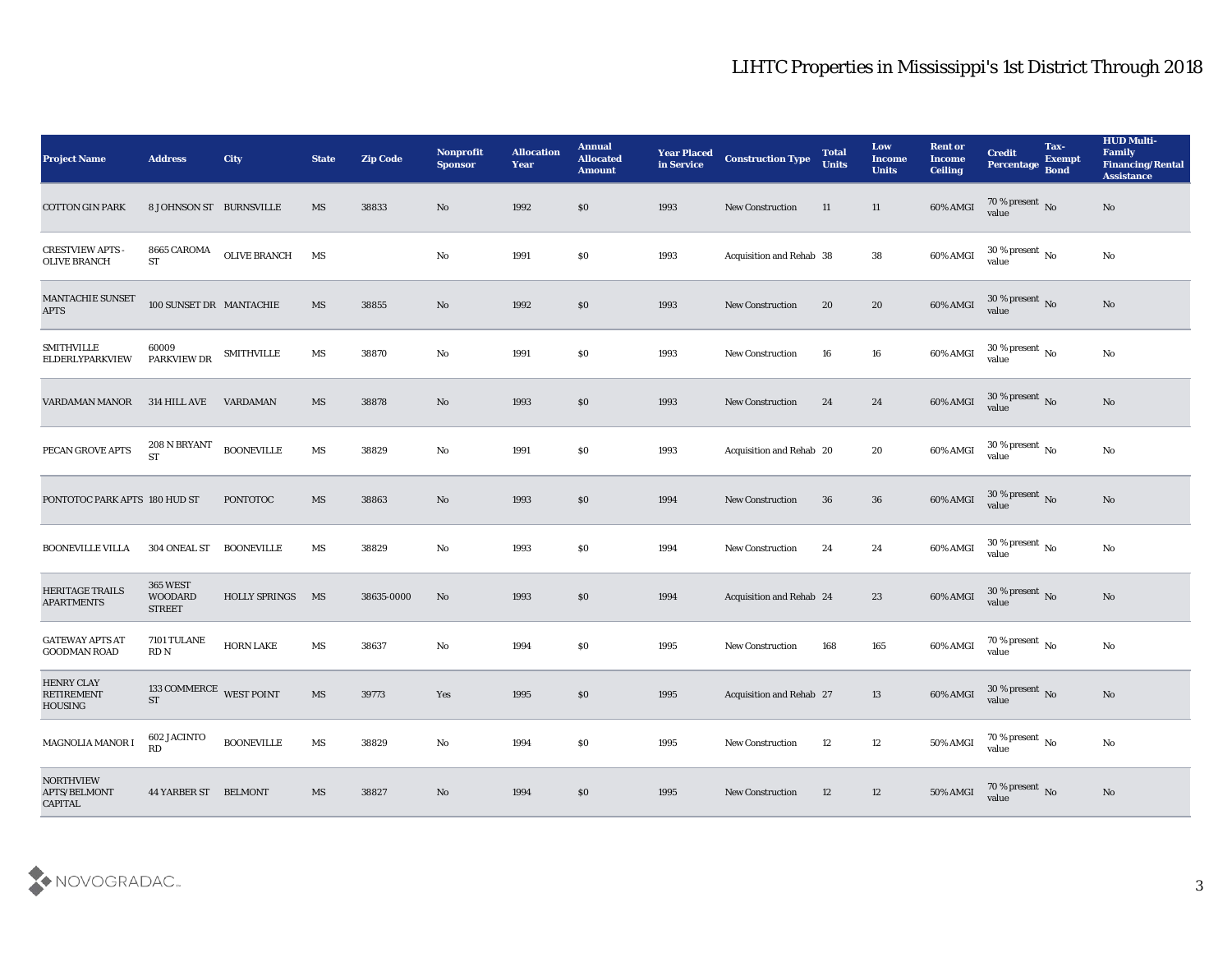| <b>Project Name</b>                                | <b>Address</b>                                     | <b>City</b>          | <b>State</b>           | <b>Zip Code</b> | Nonprofit<br><b>Sponsor</b> | <b>Allocation</b><br><b>Year</b> | <b>Annual</b><br><b>Allocated</b><br><b>Amount</b> | <b>Year Placed</b><br>in Service | <b>Construction Type</b>        | <b>Total</b><br><b>Units</b> | Low<br><b>Income</b><br><b>Units</b> | <b>Rent or</b><br><b>Income</b><br><b>Ceiling</b> | <b>Credit</b><br>Percentage Bond   | Tax-<br><b>Exempt</b> | <b>HUD Multi-</b><br>Family<br><b>Financing/Rental</b><br><b>Assistance</b> |
|----------------------------------------------------|----------------------------------------------------|----------------------|------------------------|-----------------|-----------------------------|----------------------------------|----------------------------------------------------|----------------------------------|---------------------------------|------------------------------|--------------------------------------|---------------------------------------------------|------------------------------------|-----------------------|-----------------------------------------------------------------------------|
| <b>COTTON GIN PARK</b>                             | 8 JOHNSON ST BURNSVILLE                            |                      | MS                     | 38833           | No                          | 1992                             | $\$0$                                              | 1993                             | <b>New Construction</b>         | 11                           | 11                                   | 60% AMGI                                          | 70 % present No value              |                       | No                                                                          |
| <b>CRESTVIEW APTS</b><br><b>OLIVE BRANCH</b>       | 8665 CAROMA<br>${\cal S}{\cal T}$                  | OLIVE BRANCH         | MS                     |                 | No                          | 1991                             | $\$0$                                              | 1993                             | Acquisition and Rehab 38        |                              | 38                                   | 60% AMGI                                          | $30\,\%$ present $\,$ No value     |                       | $\mathbf{N}\mathbf{o}$                                                      |
| <b>MANTACHIE SUNSET</b><br><b>APTS</b>             | 100 SUNSET DR MANTACHIE                            |                      | MS                     | 38855           | No                          | 1992                             | \$0\$                                              | 1993                             | <b>New Construction</b>         | 20                           | $20\,$                               | 60% AMGI                                          | $30\,\%$ present $\,$ No value     |                       | $\mathbf{N}\mathbf{o}$                                                      |
| <b>SMITHVILLE</b><br>ELDERLYPARKVIEW               | 60009<br>PARKVIEW DR                               | <b>SMITHVILLE</b>    | MS                     | 38870           | No                          | 1991                             | \$0                                                | 1993                             | <b>New Construction</b>         | 16                           | 16                                   | 60% AMGI                                          | $30\,\%$ present $\,$ No value     |                       | $\rm \bf No$                                                                |
| VARDAMAN MANOR                                     | 314 HILL AVE                                       | <b>VARDAMAN</b>      | MS                     | 38878           | No                          | 1993                             | \$0\$                                              | 1993                             | <b>New Construction</b>         | 24                           | 24                                   | 60% AMGI                                          | $30\,\%$ present $\,$ No value     |                       | No                                                                          |
| PECAN GROVE APTS                                   | 208 N BRYANT<br>ST                                 | <b>BOONEVILLE</b>    | $\mathbf{M}\mathbf{S}$ | 38829           | No                          | 1991                             | \$0                                                | 1993                             | Acquisition and Rehab 20        |                              | 20                                   | 60% AMGI                                          | $30\,\%$ present $\,$ No value     |                       | $\mathbf{N}\mathbf{o}$                                                      |
| PONTOTOC PARK APTS 180 HUD ST                      |                                                    | <b>PONTOTOC</b>      | MS                     | 38863           | No                          | 1993                             | $\$0$                                              | 1994                             | <b>New Construction</b>         | 36                           | 36                                   | 60% AMGI                                          | $30\,\%$ present $\,$ No value     |                       | $\mathbf{N}\mathbf{o}$                                                      |
| <b>BOONEVILLE VILLA</b>                            | 304 ONEAL ST                                       | <b>BOONEVILLE</b>    | MS                     | 38829           | No                          | 1993                             | \$0\$                                              | 1994                             | <b>New Construction</b>         | 24                           | 24                                   | 60% AMGI                                          | 30 % present $\,$ No $\,$<br>value |                       | No                                                                          |
| <b>HERITAGE TRAILS</b><br><b>APARTMENTS</b>        | <b>365 WEST</b><br><b>WOODARD</b><br><b>STREET</b> | <b>HOLLY SPRINGS</b> | MS                     | 38635-0000      | No                          | 1993                             | \$0\$                                              | 1994                             | <b>Acquisition and Rehab 24</b> |                              | 23                                   | 60% AMGI                                          | $30\,\%$ present $\,$ No value     |                       | No                                                                          |
| <b>GATEWAY APTS AT</b><br><b>GOODMAN ROAD</b>      | 7101 TULANE<br>RDN                                 | <b>HORN LAKE</b>     | MS                     | 38637           | No                          | 1994                             | \$0                                                | 1995                             | <b>New Construction</b>         | 168                          | 165                                  | 60% AMGI                                          | $70\,\%$ present $\,$ No value     |                       | $\mathbf{N}\mathbf{o}$                                                      |
| <b>HENRY CLAY</b><br><b>RETIREMENT</b><br>HOUSING  | 133 COMMERCE WEST POINT<br><b>ST</b>               |                      | MS                     | 39773           | Yes                         | 1995                             | \$0                                                | 1995                             | Acquisition and Rehab 27        |                              | 13                                   | 60% AMGI                                          | 30 % present $\,$ No $\,$<br>value |                       | No                                                                          |
| MAGNOLIA MANOR I                                   | 602 JACINTO<br>RD                                  | <b>BOONEVILLE</b>    | MS                     | 38829           | $\rm\thinspace No$          | 1994                             | $\$0$                                              | 1995                             | New Construction                | 12                           | 12                                   | 50% AMGI                                          | $70\,\%$ present $\,$ No value     |                       | $\rm \bf No$                                                                |
| <b>NORTHVIEW</b><br>APTS/BELMONT<br><b>CAPITAL</b> | <b>44 YARBER ST BELMONT</b>                        |                      | MS                     | 38827           | No                          | 1994                             | \$0                                                | 1995                             | New Construction                | 12                           | $12\,$                               | 50% AMGI                                          | $70\,\%$ present $\,$ No value     |                       | $\mathbf{N}\mathbf{o}$                                                      |

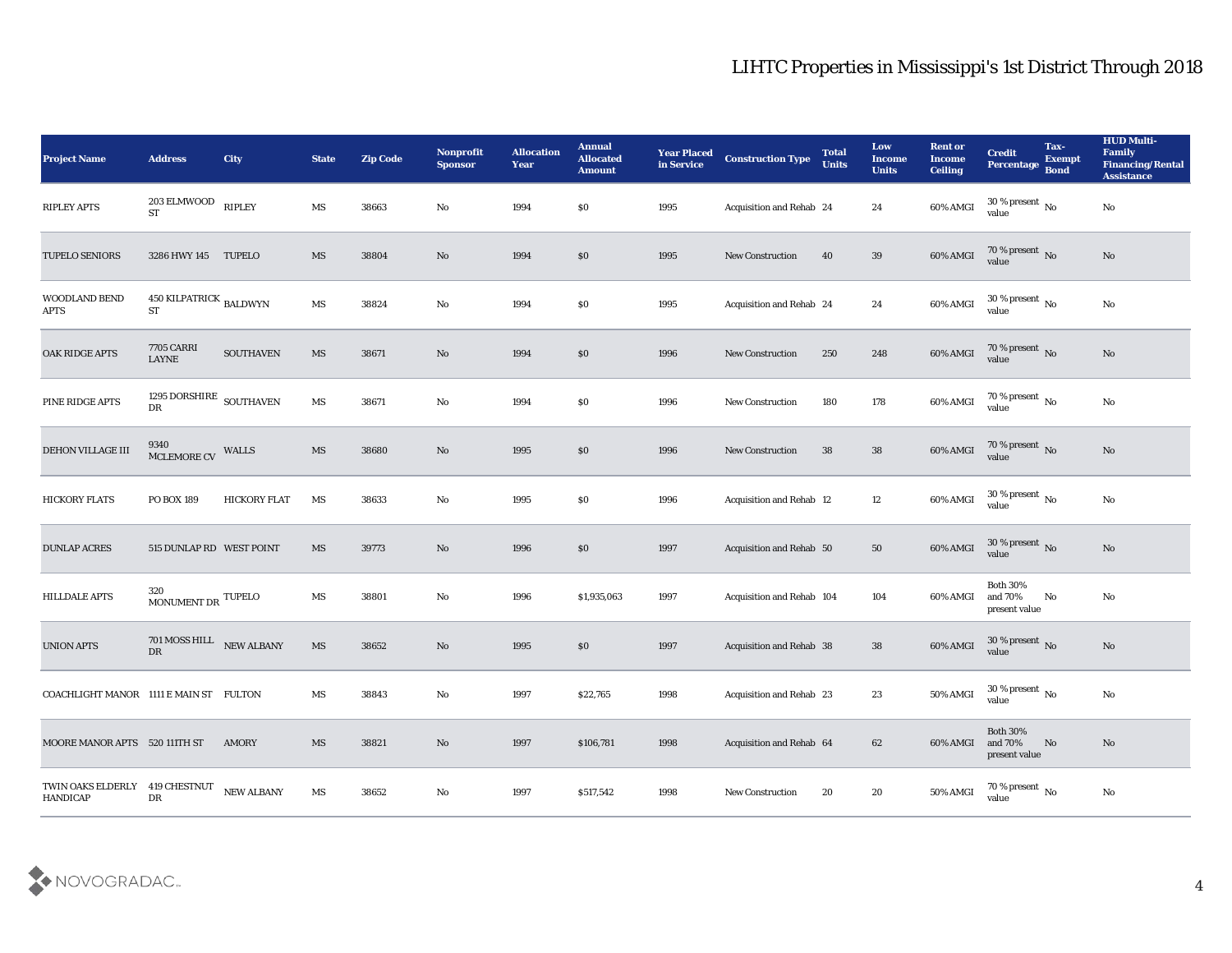| <b>Project Name</b>                               | <b>Address</b>                                       | <b>City</b>         | <b>State</b>           | <b>Zip Code</b> | Nonprofit<br><b>Sponsor</b> | <b>Allocation</b><br><b>Year</b> | <b>Annual</b><br><b>Allocated</b><br><b>Amount</b> | <b>Year Placed</b><br>in Service | <b>Construction Type</b>  | <b>Total</b><br><b>Units</b> | Low<br><b>Income</b><br><b>Units</b> | <b>Rent or</b><br><b>Income</b><br><b>Ceiling</b> | <b>Credit</b><br>Percentage Bond            | Tax-<br><b>Exempt</b> | <b>HUD Multi-</b><br>Family<br><b>Financing/Rental</b><br><b>Assistance</b> |
|---------------------------------------------------|------------------------------------------------------|---------------------|------------------------|-----------------|-----------------------------|----------------------------------|----------------------------------------------------|----------------------------------|---------------------------|------------------------------|--------------------------------------|---------------------------------------------------|---------------------------------------------|-----------------------|-----------------------------------------------------------------------------|
| <b>RIPLEY APTS</b>                                | 203 ELMWOOD<br><b>ST</b>                             | <b>RIPLEY</b>       | $\mathbf{M}\mathbf{S}$ | 38663           | No                          | 1994                             | \$0                                                | 1995                             | Acquisition and Rehab 24  |                              | 24                                   | 60% AMGI                                          | $30\,\%$ present $\,$ No value              |                       | $\mathbf{N}\mathbf{o}$                                                      |
| <b>TUPELO SENIORS</b>                             | 3286 HWY 145 TUPELO                                  |                     | MS                     | 38804           | No                          | 1994                             | $\$0$                                              | 1995                             | <b>New Construction</b>   | 40                           | 39                                   | 60% AMGI                                          | $70$ % present $\,$ No $\,$ value           |                       | No                                                                          |
| WOODLAND BEND<br><b>APTS</b>                      | 450 KILPATRICK $_{\rm BALDWYN}$<br><b>ST</b>         |                     | $\mathbf{M}\mathbf{S}$ | 38824           | $\rm\thinspace No$          | 1994                             | \$0                                                | 1995                             | Acquisition and Rehab 24  |                              | 24                                   | 60% AMGI                                          | $30\,\%$ present $\,$ No value              |                       | $\mathbf {No}$                                                              |
| OAK RIDGE APTS                                    | <b>7705 CARRI</b><br><b>LAYNE</b>                    | <b>SOUTHAVEN</b>    | $\mathbf{M}\mathbf{S}$ | 38671           | No                          | 1994                             | \$0\$                                              | 1996                             | <b>New Construction</b>   | 250                          | 248                                  | 60% AMGI                                          | 70 % present No<br>value                    |                       | No                                                                          |
| PINE RIDGE APTS                                   | 1295 DORSHIRE $_{\rm SOUTHAVEN}$<br>${\rm D}{\rm R}$ |                     | $\mathbf{M}\mathbf{S}$ | 38671           | No                          | 1994                             | \$0\$                                              | 1996                             | <b>New Construction</b>   | 180                          | 178                                  | 60% AMGI                                          | $70\,\%$ present $\,$ No value              |                       | No                                                                          |
| DEHON VILLAGE III                                 | 9340<br>MCLEMORE CV WALLS                            |                     | $\mathbf{M}\mathbf{S}$ | 38680           | No                          | 1995                             | $\$0$                                              | 1996                             | <b>New Construction</b>   | 38                           | 38                                   | 60% AMGI                                          | $70\,\%$ present $\,$ No value              |                       | $\rm\thinspace No$                                                          |
| <b>HICKORY FLATS</b>                              | PO BOX 189                                           | <b>HICKORY FLAT</b> | MS                     | 38633           | No                          | 1995                             | \$0                                                | 1996                             | Acquisition and Rehab 12  |                              | 12                                   | 60% AMGI                                          | $30\,\%$ present $\,$ No value              |                       | $\mathbf {No}$                                                              |
| <b>DUNLAP ACRES</b>                               | 515 DUNLAP RD WEST POINT                             |                     | MS                     | 39773           | No                          | 1996                             | \$0\$                                              | 1997                             | Acquisition and Rehab 50  |                              | 50                                   | 60% AMGI                                          | $30\,\%$ present $\,$ No value              |                       | No                                                                          |
| <b>HILLDALE APTS</b>                              | 320<br>MONUMENT DR $^{\text{TUPELO}}$                |                     | $\mathbf{M}\mathbf{S}$ | 38801           | No                          | 1996                             | \$1,935,063                                        | 1997                             | Acquisition and Rehab 104 |                              | 104                                  | 60% AMGI                                          | <b>Both 30%</b><br>and 70%<br>present value | No                    | No                                                                          |
| <b>UNION APTS</b>                                 | $701$ MOSS HILL $\quad$ NEW ALBANY<br>DR             |                     | $\mathbf{M}\mathbf{S}$ | 38652           | No                          | 1995                             | \$0                                                | 1997                             | Acquisition and Rehab 38  |                              | 38                                   | 60% AMGI                                          | $30\,\%$ present $\,$ No value              |                       | $\rm\thinspace No$                                                          |
| COACHLIGHT MANOR 1111 E MAIN ST FULTON            |                                                      |                     | MS                     | 38843           | No                          | 1997                             | \$22,765                                           | 1998                             | Acquisition and Rehab 23  |                              | 23                                   | 50% AMGI                                          | 30 % present $\,$ No $\,$<br>value          |                       | No                                                                          |
| MOORE MANOR APTS 520 111TH ST                     |                                                      | AMORY               | $\mathbf{M}\mathbf{S}$ | 38821           | $\rm\thinspace No$          | 1997                             | \$106,781                                          | 1998                             | Acquisition and Rehab 64  |                              | 62                                   | 60% AMGI                                          | <b>Both 30%</b><br>and 70%<br>present value | No                    | No                                                                          |
| TWIN OAKS ELDERLY 419 CHESTNUT<br><b>HANDICAP</b> | ${\rm DR}$                                           | NEW ALBANY          | MS                     | 38652           | $\mathbf{N}\mathbf{o}$      | 1997                             | \$517,542                                          | 1998                             | <b>New Construction</b>   | 20                           | $20\,$                               | 50% AMGI                                          | $70\,\%$ present $\,$ No value              |                       | $\mathbf {No}$                                                              |

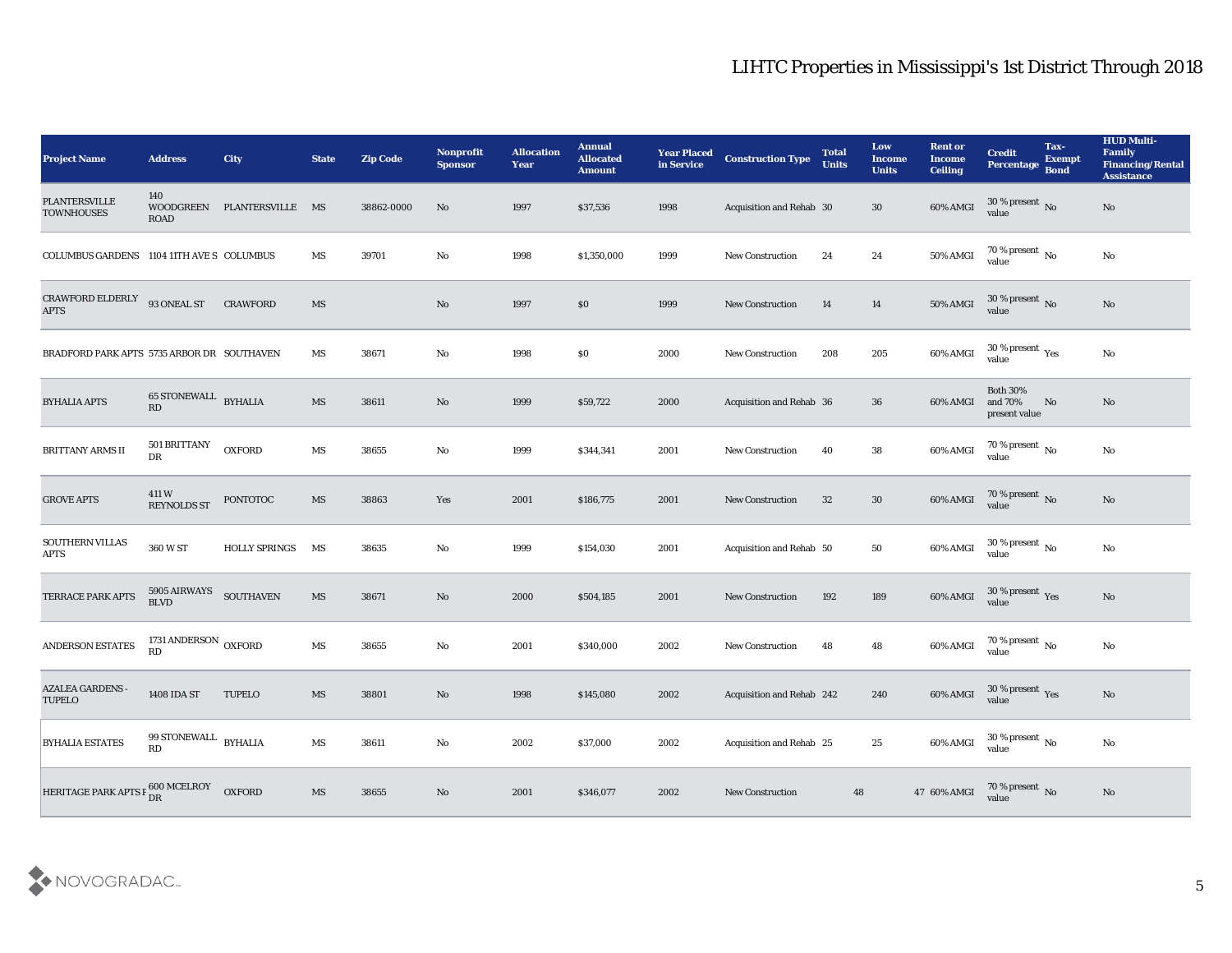| <b>Project Name</b>                        | <b>Address</b>                    | <b>City</b>          | <b>State</b>           | <b>Zip Code</b> | Nonprofit<br><b>Sponsor</b> | <b>Allocation</b><br><b>Year</b> | <b>Annual</b><br><b>Allocated</b><br><b>Amount</b> | <b>Year Placed</b><br>in Service | <b>Construction Type</b>        | <b>Total</b><br><b>Units</b> | Low<br><b>Income</b><br><b>Units</b> | <b>Rent or</b><br><b>Income</b><br><b>Ceiling</b> | <b>Credit</b><br>Percentage Bond            | Tax-<br><b>Exempt</b> | <b>HUD Multi-</b><br>Family<br><b>Financing/Rental</b><br><b>Assistance</b> |
|--------------------------------------------|-----------------------------------|----------------------|------------------------|-----------------|-----------------------------|----------------------------------|----------------------------------------------------|----------------------------------|---------------------------------|------------------------------|--------------------------------------|---------------------------------------------------|---------------------------------------------|-----------------------|-----------------------------------------------------------------------------|
| <b>PLANTERSVILLE</b><br><b>TOWNHOUSES</b>  | 140<br>WOODGREEN<br><b>ROAD</b>   | PLANTERSVILLE MS     |                        | 38862-0000      | No                          | 1997                             | \$37,536                                           | 1998                             | Acquisition and Rehab 30        |                              | 30                                   | 60% AMGI                                          | $30\%$ present No<br>value                  |                       | $\mathbf{N}\mathbf{o}$                                                      |
| COLUMBUS GARDENS 1104 11TH AVE S COLUMBUS  |                                   |                      | MS                     | 39701           | No                          | 1998                             | \$1,350,000                                        | 1999                             | <b>New Construction</b>         | 24                           | 24                                   | 50% AMGI                                          | $70\,\% \,present \over value$              |                       | No                                                                          |
| CRAWFORD ELDERLY<br><b>APTS</b>            | 93 ONEAL ST                       | <b>CRAWFORD</b>      | $\overline{\text{MS}}$ |                 | No                          | 1997                             | \$0\$                                              | 1999                             | New Construction                | 14                           | 14                                   | 50% AMGI                                          | $30\,\%$ present $\,$ No value              |                       | No                                                                          |
| BRADFORD PARK APTS 5735 ARBOR DR SOUTHAVEN |                                   |                      | MS                     | 38671           | No                          | 1998                             | \$0\$                                              | 2000                             | <b>New Construction</b>         | 208                          | 205                                  | 60% AMGI                                          | $30\,\%$ present $\,$ Yes value             |                       | No                                                                          |
| <b>BYHALIA APTS</b>                        | 65 STONEWALL BYHALIA<br>RD        |                      | $\mathbf{M}\mathbf{S}$ | 38611           | No                          | 1999                             | \$59,722                                           | 2000                             | <b>Acquisition and Rehab 36</b> |                              | 36                                   | 60% AMGI                                          | <b>Both 30%</b><br>and 70%<br>present value | No                    | No                                                                          |
| <b>BRITTANY ARMS II</b>                    | 501 BRITTANY<br>${\rm DR}$        | <b>OXFORD</b>        | $\mathbf{M}\mathbf{S}$ | 38655           | No                          | 1999                             | \$344,341                                          | 2001                             | <b>New Construction</b>         | 40                           | 38                                   | $60\%$ AMGI                                       | $70\,\%$ present $\,$ No value              |                       | No                                                                          |
| <b>GROVE APTS</b>                          | 411W<br><b>REYNOLDS ST</b>        | PONTOTOC             | MS                     | 38863           | Yes                         | 2001                             | \$186,775                                          | 2001                             | <b>New Construction</b>         | 32                           | $30\,$                               | 60% AMGI                                          | 70 % present No<br>value                    |                       | No                                                                          |
| SOUTHERN VILLAS<br><b>APTS</b>             | 360 W ST                          | <b>HOLLY SPRINGS</b> | MS                     | 38635           | No                          | 1999                             | \$154,030                                          | 2001                             | Acquisition and Rehab 50        |                              | 50                                   | 60% AMGI                                          | $30\,\%$ present $\,$ No $\,$<br>value      |                       | No                                                                          |
| TERRACE PARK APTS                          | 5905 AIRWAYS<br><b>BLVD</b>       | <b>SOUTHAVEN</b>     | MS                     | 38671           | No                          | 2000                             | \$504,185                                          | 2001                             | <b>New Construction</b>         | 192                          | 189                                  | 60% AMGI                                          | $30\,\%$ present $\,$ Yes value             |                       | No                                                                          |
| <b>ANDERSON ESTATES</b>                    | 1731 ANDERSON OXFORD<br><b>RD</b> |                      | MS                     | 38655           | No                          | 2001                             | \$340,000                                          | 2002                             | <b>New Construction</b>         | 48                           | 48                                   | 60% AMGI                                          | $70\,\% \,present \over value$              |                       | $\mathbf{N}\mathbf{o}$                                                      |
| <b>AZALEA GARDENS -</b><br><b>TUPELO</b>   | 1408 IDA ST                       | <b>TUPELO</b>        | MS                     | 38801           | No                          | 1998                             | \$145,080                                          | 2002                             | Acquisition and Rehab 242       |                              | 240                                  | 60% AMGI                                          | 30 % present Yes<br>value                   |                       | No                                                                          |
| <b>BYHALIA ESTATES</b>                     | 99 STONEWALL BYHALIA<br>RD        |                      | $\mathbf{M}\mathbf{S}$ | 38611           | $\rm\thinspace No$          | 2002                             | \$37,000                                           | 2002                             | Acquisition and Rehab 25        |                              | $25\,$                               | 60% AMGI                                          | $30\,\%$ present $\,$ No value              |                       | ${\bf No}$                                                                  |
| <b>HERITAGE PARK APTS F</b>                | $F_{DR}^{600 \text{ MCELROY}}$    | <b>OXFORD</b>        | $\mathbf{M}\mathbf{S}$ | 38655           | $\mathbf{N}\mathbf{o}$      | 2001                             | \$346,077                                          | 2002                             | New Construction                | 48                           |                                      | 47 60% AMGI                                       | $70\,\%$ present $\,$ No value              |                       | $\mathbf{N}\mathbf{o}$                                                      |

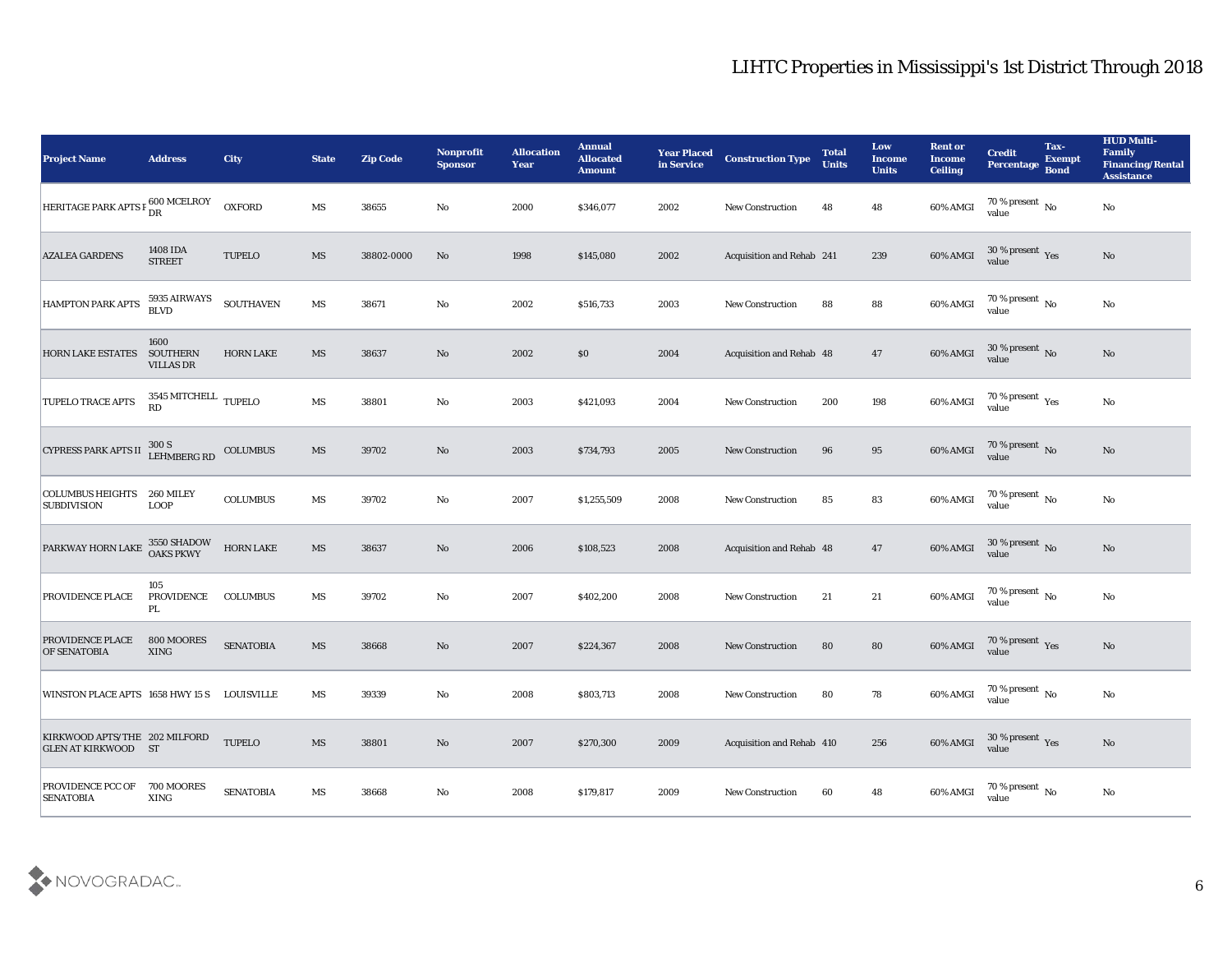| <b>Project Name</b>                                         | <b>Address</b>                                | <b>City</b>      | <b>State</b>           | <b>Zip Code</b> | Nonprofit<br><b>Sponsor</b> | <b>Allocation</b><br><b>Year</b> | <b>Annual</b><br><b>Allocated</b><br><b>Amount</b> | <b>Year Placed</b><br>in Service | <b>Construction Type</b>        | <b>Total</b><br><b>Units</b> | Low<br><b>Income</b><br><b>Units</b> | <b>Rent or</b><br><b>Income</b><br><b>Ceiling</b> | <b>Credit</b><br>Percentage               | Tax-<br><b>Exempt</b><br><b>Bond</b> | <b>HUD Multi-</b><br>Family<br><b>Financing/Rental</b><br><b>Assistance</b> |
|-------------------------------------------------------------|-----------------------------------------------|------------------|------------------------|-----------------|-----------------------------|----------------------------------|----------------------------------------------------|----------------------------------|---------------------------------|------------------------------|--------------------------------------|---------------------------------------------------|-------------------------------------------|--------------------------------------|-----------------------------------------------------------------------------|
| HERITAGE PARK APTS F 600 MCELROY                            |                                               | <b>OXFORD</b>    | $\mathbf{M}\mathbf{S}$ | 38655           | No                          | 2000                             | \$346,077                                          | 2002                             | <b>New Construction</b>         | 48                           | 48                                   | 60% AMGI                                          | 70 % present $\,$ No $\,$<br>value        |                                      | $\mathbf {No}$                                                              |
| <b>AZALEA GARDENS</b>                                       | 1408 IDA<br><b>STREET</b>                     | <b>TUPELO</b>    | MS                     | 38802-0000      | No                          | 1998                             | \$145,080                                          | 2002                             | Acquisition and Rehab 241       |                              | 239                                  | 60% AMGI                                          | $30\,\%$ present $\,$ Yes value           |                                      | No                                                                          |
| HAMPTON PARK APTS                                           | 5935 AIRWAYS<br><b>BLVD</b>                   | <b>SOUTHAVEN</b> | MS                     | 38671           | No                          | 2002                             | \$516,733                                          | 2003                             | <b>New Construction</b>         | 88                           | 88                                   | 60% AMGI                                          | 70 % present $\,$ No $\,$<br>value        |                                      | No                                                                          |
| <b>HORN LAKE ESTATES</b>                                    | 1600<br><b>SOUTHERN</b><br><b>VILLAS DR</b>   | <b>HORN LAKE</b> | MS                     | 38637           | No                          | 2002                             | $\$0$                                              | 2004                             | Acquisition and Rehab 48        |                              | 47                                   | 60% AMGI                                          | $30\,\%$ present $\,$ No value            |                                      | No                                                                          |
| <b>TUPELO TRACE APTS</b>                                    | $3545\,\mathrm{MITCHELL}$ TUPELO<br><b>RD</b> |                  | MS                     | 38801           | No                          | 2003                             | \$421,093                                          | 2004                             | New Construction                | 200                          | 198                                  | 60% AMGI                                          | $70\,\%$ present $\,$ Yes value           |                                      | $\mathbf{N}\mathbf{o}$                                                      |
| <b>CYPRESS PARK APTS II</b>                                 | 300 S<br>LEHMBERG RD                          | <b>COLUMBUS</b>  | MS                     | 39702           | No                          | 2003                             | \$734,793                                          | 2005                             | <b>New Construction</b>         | 96                           | 95                                   | 60% AMGI                                          | $70$ % present $\,$ No value              |                                      | No                                                                          |
| COLUMBUS HEIGHTS<br><b>SUBDIVISION</b>                      | 260 MILEY<br><b>LOOP</b>                      | <b>COLUMBUS</b>  | MS                     | 39702           | $\mathbf{No}$               | 2007                             | \$1,255,509                                        | 2008                             | <b>New Construction</b>         | 85                           | 83                                   | 60% AMGI                                          | $70\,\%$ present $\,$ No value            |                                      | No                                                                          |
| PARKWAY HORN LAKE                                           | 3550 SHADOW<br>OAKS PKWY                      | <b>HORN LAKE</b> | MS                     | 38637           | No                          | 2006                             | \$108,523                                          | 2008                             | <b>Acquisition and Rehab 48</b> |                              | 47                                   | 60% AMGI                                          | $30\,\%$ present $\,$ No value            |                                      | No                                                                          |
| PROVIDENCE PLACE                                            | 105<br>PROVIDENCE<br>PL                       | <b>COLUMBUS</b>  | MS                     | 39702           | No                          | 2007                             | \$402,200                                          | 2008                             | <b>New Construction</b>         | 21                           | 21                                   | 60% AMGI                                          | $70\,\%$ present $\,$ No value            |                                      | $\mathbf {No}$                                                              |
| PROVIDENCE PLACE<br>OF SENATOBIA                            | 800 MOORES<br><b>XING</b>                     | <b>SENATOBIA</b> | MS                     | 38668           | $\mathbf{N}\mathbf{o}$      | 2007                             | \$224,367                                          | 2008                             | <b>New Construction</b>         | 80                           | 80                                   | 60% AMGI                                          | $70\,\%$ present $\;\;\mathrm{Yes}$ value |                                      | No                                                                          |
| WINSTON PLACE APTS 1658 HWY 15 S LOUISVILLE                 |                                               |                  | MS                     | 39339           | No                          | 2008                             | \$803,713                                          | 2008                             | <b>New Construction</b>         | 80                           | 78                                   | 60% AMGI                                          | 70 % present $\,$ No $\,$<br>value        |                                      | No                                                                          |
| KIRKWOOD APTS/THE 202 MILFORD<br><b>GLEN AT KIRKWOOD ST</b> |                                               | <b>TUPELO</b>    | $\mathbf{M}\mathbf{S}$ | 38801           | $\mathbf {No}$              | 2007                             | \$270,300                                          | 2009                             | Acquisition and Rehab 410       |                              | 256                                  | 60% AMGI                                          | $30\,\%$ present $\,$ Yes value           |                                      | $\rm\thinspace No$                                                          |
| PROVIDENCE PCC OF<br><b>SENATOBIA</b>                       | 700 MOORES<br><b>XING</b>                     | <b>SENATOBIA</b> | MS                     | 38668           | $\mathbf {No}$              | 2008                             | \$179,817                                          | 2009                             | New Construction                | 60                           | 48                                   | 60% AMGI                                          | 70 % present $\,$ No $\,$<br>value        |                                      | $\mathbf{No}$                                                               |

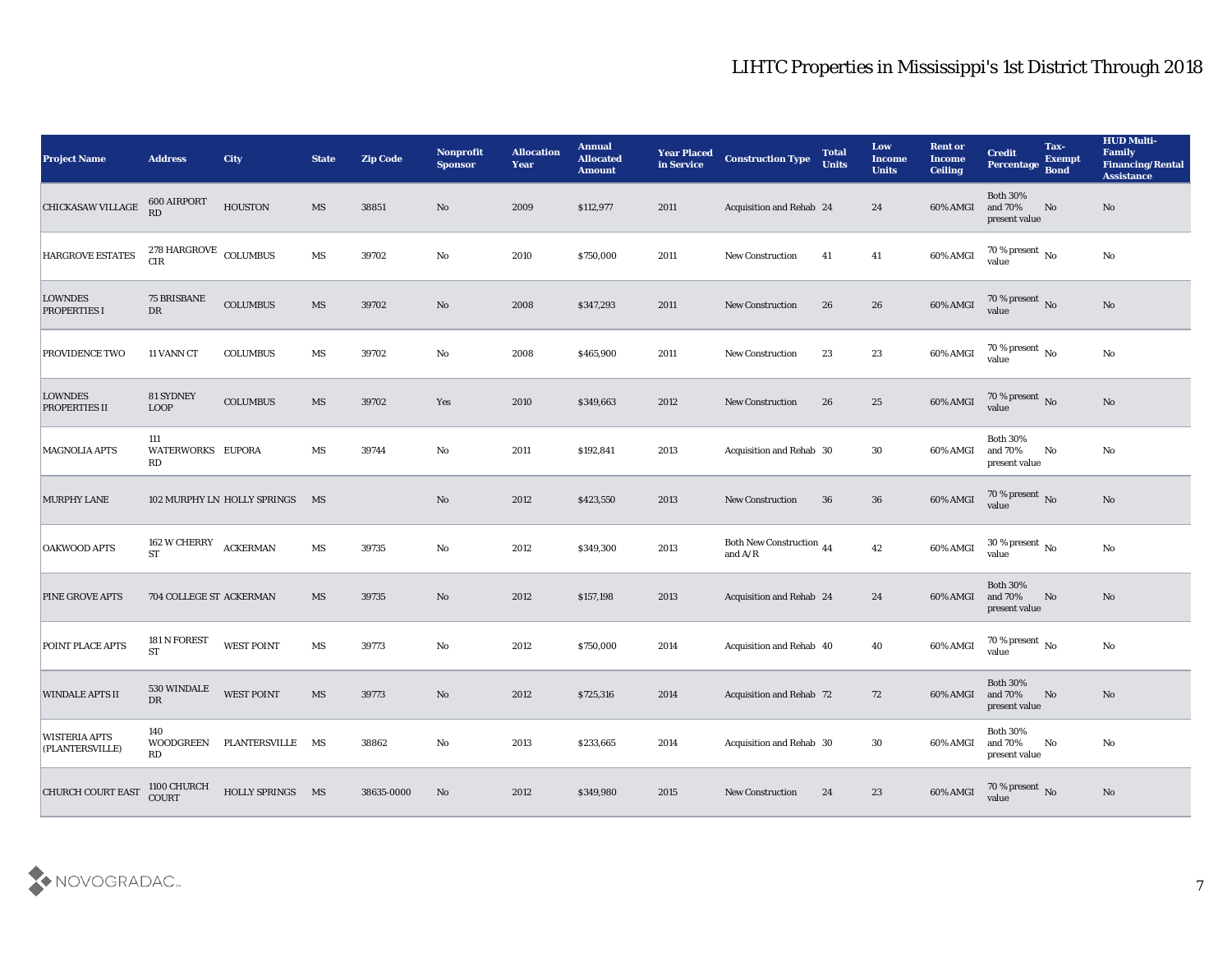| <b>Project Name</b>                     | <b>Address</b>                      | <b>City</b>                 | <b>State</b> | <b>Zip Code</b> | <b>Nonprofit</b><br><b>Sponsor</b> | <b>Allocation</b><br><b>Year</b> | <b>Annual</b><br><b>Allocated</b><br><b>Amount</b> | <b>Year Placed</b><br>in Service | <b>Construction Type</b>                                                          | <b>Total</b><br><b>Units</b> | <b>Low</b><br><b>Income</b><br><b>Units</b> | <b>Rent or</b><br><b>Income</b><br><b>Ceiling</b> | <b>Credit</b><br>Percentage                 | Tax-<br><b>Exempt</b><br><b>Bond</b> | <b>HUD Multi-</b><br>Family<br><b>Financing/Rental</b><br><b>Assistance</b> |
|-----------------------------------------|-------------------------------------|-----------------------------|--------------|-----------------|------------------------------------|----------------------------------|----------------------------------------------------|----------------------------------|-----------------------------------------------------------------------------------|------------------------------|---------------------------------------------|---------------------------------------------------|---------------------------------------------|--------------------------------------|-----------------------------------------------------------------------------|
| <b>CHICKASAW VILLAGE</b>                | 600 AIRPORT<br>RD                   | <b>HOUSTON</b>              | MS           | 38851           | No                                 | 2009                             | \$112,977                                          | 2011                             | Acquisition and Rehab 24                                                          |                              | 24                                          | 60% AMGI                                          | <b>Both 30%</b><br>and 70%<br>present value | No                                   | No                                                                          |
| <b>HARGROVE ESTATES</b>                 | $278$ HARGROVE $\,$ COLUMBUS<br>CIR |                             | MS           | 39702           | No                                 | 2010                             | \$750,000                                          | 2011                             | New Construction                                                                  | 41                           | 41                                          | 60% AMGI                                          | $70\,\%$ present $\,$ No value              |                                      | $\mathbf{N}\mathbf{o}$                                                      |
| <b>LOWNDES</b><br>PROPERTIES I          | <b>75 BRISBANE</b><br>${\rm DR}$    | <b>COLUMBUS</b>             | MS           | 39702           | No                                 | 2008                             | \$347,293                                          | 2011                             | <b>New Construction</b>                                                           | 26                           | 26                                          | $60\%$ AMGI                                       | $70\,\%$ present $\,$ No value              |                                      | No                                                                          |
| <b>PROVIDENCE TWO</b>                   | 11 VANN CT                          | <b>COLUMBUS</b>             | MS           | 39702           | No                                 | 2008                             | \$465,900                                          | 2011                             | New Construction                                                                  | 23                           | 23                                          | 60% AMGI                                          | $70\,\%$ present $\,$ No value              |                                      | No                                                                          |
| <b>LOWNDES</b><br><b>PROPERTIES II</b>  | <b>81 SYDNEY</b><br><b>LOOP</b>     | <b>COLUMBUS</b>             | MS           | 39702           | Yes                                | 2010                             | \$349,663                                          | 2012                             | <b>New Construction</b>                                                           | 26                           | 25                                          | 60% AMGI                                          | $70\,\%$ present $\,$ No value              |                                      | No                                                                          |
| <b>MAGNOLIA APTS</b>                    | 111<br>WATERWORKS EUPORA<br>RD      |                             | MS           | 39744           | No                                 | 2011                             | \$192,841                                          | 2013                             | Acquisition and Rehab 30                                                          |                              | 30                                          | 60% AMGI                                          | <b>Both 30%</b><br>and 70%<br>present value | No                                   | No                                                                          |
| <b>MURPHY LANE</b>                      |                                     | 102 MURPHY LN HOLLY SPRINGS | MS           |                 | No                                 | 2012                             | \$423,550                                          | 2013                             | <b>New Construction</b>                                                           | 36                           | 36                                          | 60% AMGI                                          | 70 % present No<br>value                    |                                      | No                                                                          |
| <b>OAKWOOD APTS</b>                     | 162 W CHERRY ACKERMAN<br><b>ST</b>  |                             | MS           | 39735           | No                                 | 2012                             | \$349,300                                          | 2013                             | Both New Construction 44<br>and $\ensuremath{\mathrm{A}}/\ensuremath{\mathrm{R}}$ |                              | 42                                          | 60% AMGI                                          | 30 % present $\,$ No $\,$<br>value          |                                      | $\mathbf{N}\mathbf{o}$                                                      |
| <b>PINE GROVE APTS</b>                  | 704 COLLEGE ST ACKERMAN             |                             | MS           | 39735           | No                                 | 2012                             | \$157,198                                          | 2013                             | <b>Acquisition and Rehab 24</b>                                                   |                              | 24                                          | 60% AMGI                                          | <b>Both 30%</b><br>and 70%<br>present value | No                                   | No                                                                          |
| POINT PLACE APTS                        | 181 N FOREST<br><b>ST</b>           | <b>WEST POINT</b>           | MS           | 39773           | No                                 | 2012                             | \$750,000                                          | 2014                             | Acquisition and Rehab 40                                                          |                              | 40                                          | 60% AMGI                                          | $70\,\%$ present $\,$ No value              |                                      | No                                                                          |
| <b>WINDALE APTS II</b>                  | 530 WINDALE<br>DR                   | <b>WEST POINT</b>           | MS           | 39773           | No                                 | 2012                             | \$725,316                                          | 2014                             | <b>Acquisition and Rehab 72</b>                                                   |                              | 72                                          | 60% AMGI and 70%                                  | <b>Both 30%</b><br>present value            | No                                   | No                                                                          |
| <b>WISTERIA APTS</b><br>(PLANTERSVILLE) | 140<br>RD                           | WOODGREEN PLANTERSVILLE MS  |              | 38862           | $\rm\thinspace No$                 | 2013                             | \$233,665                                          | 2014                             | Acquisition and Rehab 30                                                          |                              | 30                                          | 60% AMGI                                          | <b>Both 30%</b><br>and 70%<br>present value | No                                   | $\mathbf{N}\mathbf{o}$                                                      |
| <b>CHURCH COURT EAST</b>                | 1100 CHURCH<br>COURT                | HOLLY SPRINGS MS            |              | 38635-0000      | $\rm\, No$                         | 2012                             | \$349,980                                          | 2015                             | <b>New Construction</b>                                                           | 24                           | 23                                          | 60% AMGI                                          | $70$ % present $\,$ No $\,$ value           |                                      | $\rm \bf No$                                                                |

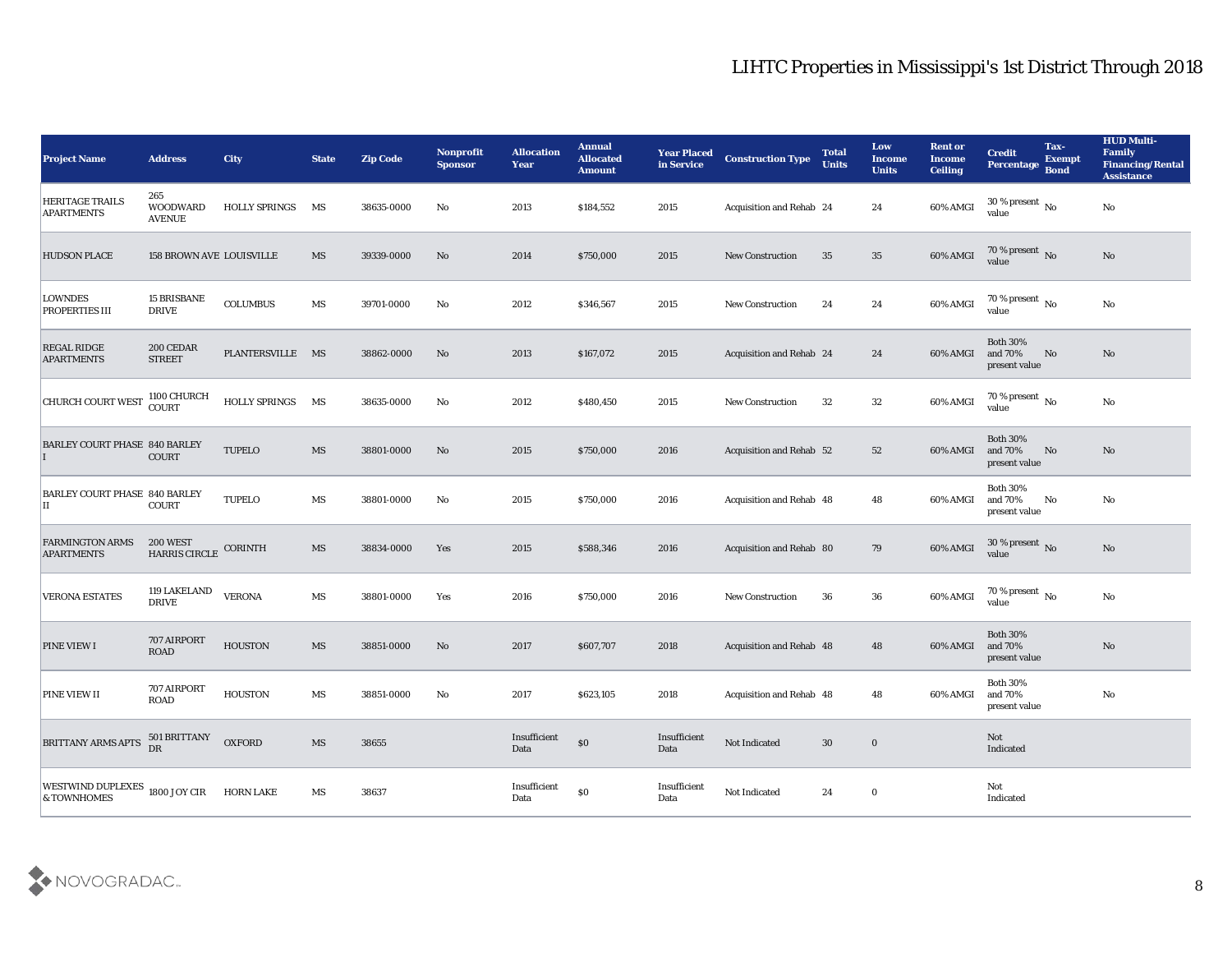| <b>Project Name</b>                           | <b>Address</b>                          | City                 | <b>State</b>           | <b>Zip Code</b> | Nonprofit<br><b>Sponsor</b> | <b>Allocation</b><br><b>Year</b> | <b>Annual</b><br><b>Allocated</b><br><b>Amount</b> | <b>Year Placed</b><br>in Service | <b>Construction Type</b> | <b>Total</b><br><b>Units</b> | Low<br><b>Income</b><br><b>Units</b> | <b>Rent or</b><br><b>Income</b><br><b>Ceiling</b> | <b>Credit</b><br>Percentage                 | Tax-<br><b>Exempt</b><br><b>Bond</b> | <b>HUD Multi-</b><br>Family<br><b>Financing/Rental</b><br><b>Assistance</b> |
|-----------------------------------------------|-----------------------------------------|----------------------|------------------------|-----------------|-----------------------------|----------------------------------|----------------------------------------------------|----------------------------------|--------------------------|------------------------------|--------------------------------------|---------------------------------------------------|---------------------------------------------|--------------------------------------|-----------------------------------------------------------------------------|
| <b>HERITAGE TRAILS</b><br><b>APARTMENTS</b>   | 265<br><b>WOODWARD</b><br><b>AVENUE</b> | <b>HOLLY SPRINGS</b> | MS                     | 38635-0000      | No                          | 2013                             | \$184,552                                          | 2015                             | Acquisition and Rehab 24 |                              | 24                                   | 60% AMGI                                          | 30 % present $\,$ No $\,$<br>value          |                                      | No                                                                          |
| <b>HUDSON PLACE</b>                           | <b>158 BROWN AVE LOUISVILLE</b>         |                      | MS                     | 39339-0000      | No                          | 2014                             | \$750,000                                          | 2015                             | <b>New Construction</b>  | 35                           | 35                                   | 60% AMGI                                          | $70\,\%$ present $\,$ No value              |                                      | No                                                                          |
| <b>LOWNDES</b><br>PROPERTIES III              | <b>15 BRISBANE</b><br><b>DRIVE</b>      | <b>COLUMBUS</b>      | MS                     | 39701-0000      | No                          | 2012                             | \$346,567                                          | 2015                             | <b>New Construction</b>  | 24                           | 24                                   | 60% AMGI                                          | 70 % present $\,$ No $\,$<br>value          |                                      | No                                                                          |
| <b>REGAL RIDGE</b><br><b>APARTMENTS</b>       | 200 CEDAR<br><b>STREET</b>              | PLANTERSVILLE MS     |                        | 38862-0000      | No                          | 2013                             | \$167,072                                          | 2015                             | Acquisition and Rehab 24 |                              | 24                                   | 60% AMGI                                          | <b>Both 30%</b><br>and 70%<br>present value | No                                   | No                                                                          |
| <b>CHURCH COURT WEST</b>                      | 1100 CHURCH<br>COURT                    | <b>HOLLY SPRINGS</b> | MS                     | 38635-0000      | No                          | 2012                             | \$480,450                                          | 2015                             | New Construction         | 32                           | 32                                   | 60% AMGI                                          | 70 % present $\overline{N_0}$<br>value      |                                      | No                                                                          |
| <b>BARLEY COURT PHASE 840 BARLEY</b>          | <b>COURT</b>                            | <b>TUPELO</b>        | MS                     | 38801-0000      | No                          | 2015                             | \$750,000                                          | 2016                             | Acquisition and Rehab 52 |                              | 52                                   | 60% AMGI                                          | <b>Both 30%</b><br>and 70%<br>present value | No                                   | No                                                                          |
| <b>BARLEY COURT PHASE 840 BARLEY</b><br>П     | <b>COURT</b>                            | <b>TUPELO</b>        | MS                     | 38801-0000      | No                          | 2015                             | \$750,000                                          | 2016                             | Acquisition and Rehab 48 |                              | 48                                   | 60% AMGI                                          | <b>Both 30%</b><br>and 70%<br>present value | No                                   | No                                                                          |
| <b>FARMINGTON ARMS</b><br><b>APARTMENTS</b>   | 200 WEST<br><b>HARRIS CIRCLE</b>        | <b>CORINTH</b>       | MS                     | 38834-0000      | Yes                         | 2015                             | \$588,346                                          | 2016                             | Acquisition and Rehab 80 |                              | 79                                   | 60% AMGI                                          | 30 % present No<br>value                    |                                      | No                                                                          |
| <b>VERONA ESTATES</b>                         | <b>119 LAKELAND</b><br><b>DRIVE</b>     | <b>VERONA</b>        | MS                     | 38801-0000      | Yes                         | 2016                             | \$750,000                                          | 2016                             | <b>New Construction</b>  | 36                           | 36                                   | 60% AMGI                                          | 70 % present $\,$ No $\,$<br>value          |                                      | No                                                                          |
| <b>PINE VIEW I</b>                            | 707 AIRPORT<br><b>ROAD</b>              | <b>HOUSTON</b>       | MS                     | 38851-0000      | No                          | 2017                             | \$607,707                                          | 2018                             | Acquisition and Rehab 48 |                              | 48                                   | 60% AMGI                                          | <b>Both 30%</b><br>and 70%<br>present value |                                      | No                                                                          |
| PINE VIEW II                                  | 707 AIRPORT<br>ROAD                     | <b>HOUSTON</b>       | MS                     | 38851-0000      | No                          | 2017                             | \$623,105                                          | 2018                             | Acquisition and Rehab 48 |                              | 48                                   | 60% AMGI                                          | <b>Both 30%</b><br>and 70%<br>present value |                                      | No                                                                          |
| <b>BRITTANY ARMS APTS</b>                     | 501 BRITTANY<br>DR                      | <b>OXFORD</b>        | $\mathbf{M}\mathbf{S}$ | 38655           |                             | Insufficient<br>Data             | $\$0$                                              | Insufficient<br>Data             | Not Indicated            | $30\,$                       | $\bf{0}$                             |                                                   | Not<br>Indicated                            |                                      |                                                                             |
| WESTWIND DUPLEXES 1800 JOY CIR<br>& TOWNHOMES |                                         | <b>HORN LAKE</b>     | $\mathbf{M}\mathbf{S}$ | 38637           |                             | Insufficient<br>Data             | $\$0$                                              | Insufficient<br>Data             | Not Indicated            | 24                           | $\bf{0}$                             |                                                   | Not<br>Indicated                            |                                      |                                                                             |